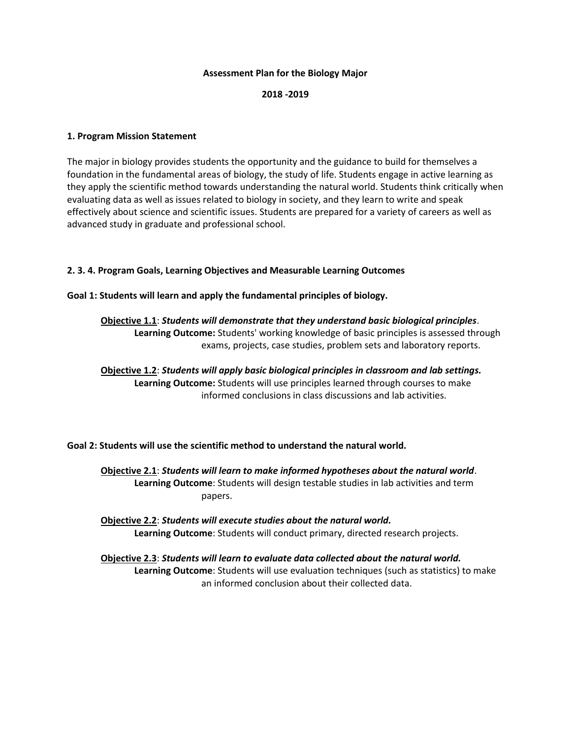#### **Assessment Plan for the Biology Major**

#### **2018 -2019**

## **1. Program Mission Statement**

The major in biology provides students the opportunity and the guidance to build for themselves a foundation in the fundamental areas of biology, the study of life. Students engage in active learning as they apply the scientific method towards understanding the natural world. Students think critically when evaluating data as well as issues related to biology in society, and they learn to write and speak effectively about science and scientific issues. Students are prepared for a variety of careers as well as advanced study in graduate and professional school.

## **2. 3. 4. Program Goals, Learning Objectives and Measurable Learning Outcomes**

## **Goal 1: Students will learn and apply the fundamental principles of biology.**

# **Objective 1.1**: *Students will demonstrate that they understand basic biological principles*. **Learning Outcome:** Students' working knowledge of basic principles is assessed through exams, projects, case studies, problem sets and laboratory reports.

**Objective 1.2**: *Students will apply basic biological principles in classroom and lab settings.* **Learning Outcome:** Students will use principles learned through courses to make informed conclusions in class discussions and lab activities.

## **Goal 2: Students will use the scientific method to understand the natural world.**

**Objective 2.1**: *Students will learn to make informed hypotheses about the natural world*. **Learning Outcome**: Students will design testable studies in lab activities and term papers.

**Objective 2.2**: *Students will execute studies about the natural world.* **Learning Outcome**: Students will conduct primary, directed research projects.

**Objective 2.3**: *Students will learn to evaluate data collected about the natural world.* **Learning Outcome**: Students will use evaluation techniques (such as statistics) to make an informed conclusion about their collected data.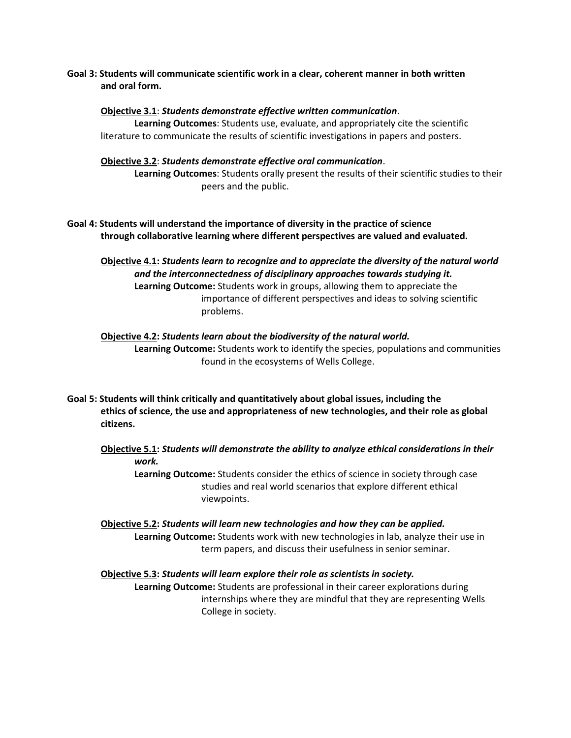**Goal 3: Students will communicate scientific work in a clear, coherent manner in both written and oral form.**

#### **Objective 3.1**: *Students demonstrate effective written communication*.

**Learning Outcomes**: Students use, evaluate, and appropriately cite the scientific literature to communicate the results of scientific investigations in papers and posters.

## **Objective 3.2**: *Students demonstrate effective oral communication*.

**Learning Outcomes**: Students orally present the results of their scientific studies to their peers and the public.

**Goal 4: Students will understand the importance of diversity in the practice of science through collaborative learning where different perspectives are valued and evaluated.**

**Objective 4.1:** *Students learn to recognize and to appreciate the diversity of the natural world and the interconnectedness of disciplinary approaches towards studying it.* **Learning Outcome:** Students work in groups, allowing them to appreciate the importance of different perspectives and ideas to solving scientific problems.

# **Objective 4.2:** *Students learn about the biodiversity of the natural world.* **Learning Outcome:** Students work to identify the species, populations and communities found in the ecosystems of Wells College.

**Goal 5: Students will think critically and quantitatively about global issues, including the ethics of science, the use and appropriateness of new technologies, and their role as global citizens.**

**Objective 5.1:** *Students will demonstrate the ability to analyze ethical considerations in their work.*

**Learning Outcome:** Students consider the ethics of science in society through case studies and real world scenarios that explore different ethical viewpoints.

**Objective 5.2:** *Students will learn new technologies and how they can be applied.* **Learning Outcome:** Students work with new technologies in lab, analyze their use in term papers, and discuss their usefulness in senior seminar.

# **Objective 5.3:** *Students will learn explore their role as scientists in society.* **Learning Outcome:** Students are professional in their career explorations during internships where they are mindful that they are representing Wells College in society.